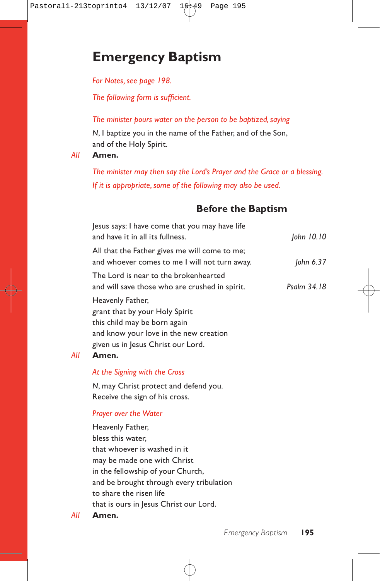# **Emergency Baptism**

*For Notes, see page 198.*

*The following form is sufficient.*

## *The minister pours water on the person to be baptized, saying*

*N*, I baptize you in the name of the Father, and of the Son, and of the Holy Spirit.

### *All* **Amen.**

*The minister may then say the Lord's Prayer and the Grace or a blessing. If it is appropriate, some of the following may also be used.*

# **Before the Baptism**

| Jesus says: I have come that you may have life<br>and have it in all its fullness.                                                                                 | John 10.10  |
|--------------------------------------------------------------------------------------------------------------------------------------------------------------------|-------------|
| All that the Father gives me will come to me;<br>and whoever comes to me I will not turn away.                                                                     | John 6.37   |
| The Lord is near to the brokenhearted<br>and will save those who are crushed in spirit.                                                                            | Psalm 34.18 |
| Heavenly Father,<br>grant that by your Holy Spirit<br>this child may be born again<br>and know your love in the new creation<br>given us in Jesus Christ our Lord. |             |

### *All* **Amen.**

### *At the Signing with the Cross*

*N*, may Christ protect and defend you. Receive the sign of his cross.

### *Prayer over the Water*

Heavenly Father, bless this water, that whoever is washed in it may be made one with Christ in the fellowship of your Church, and be brought through every tribulation to share the risen life that is ours in Jesus Christ our Lord.

*All* **Amen.**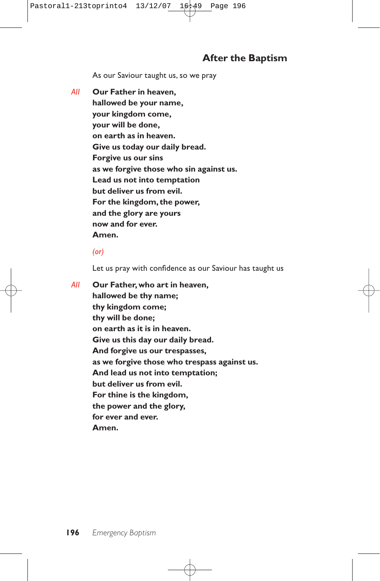# **After the Baptism**

As our Saviour taught us, so we pray

*All* **Our Father in heaven, hallowed be your name, your kingdom come, your will be done, on earth as in heaven. Give us today our daily bread. Forgive us our sins as we forgive those who sin against us. Lead us not into temptation but deliver us from evil. For the kingdom, the power, and the glory are yours now and for ever. Amen.**

#### *(or)*

Let us pray with confidence as our Saviour has taught us

*All* **Our Father, who art in heaven, hallowed be thy name; thy kingdom come; thy will be done; on earth as it is in heaven. Give us this day our daily bread. And forgive us our trespasses, as we forgive those who trespass against us. And lead us not into temptation; but deliver us from evil. For thine is the kingdom, the power and the glory, for ever and ever. Amen.**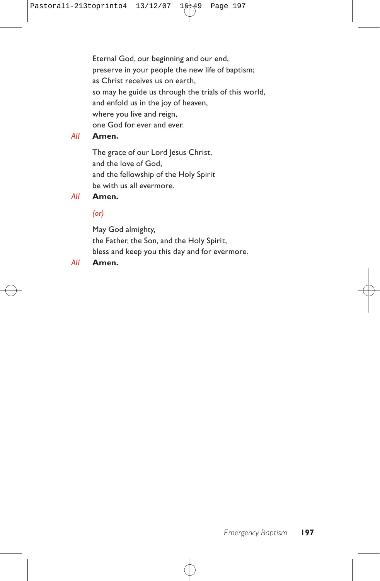Eternal God, our beginning and our end, preserve in your people the new life of baptism; as Christ receives us on earth, so may he guide us through the trials of this world, and enfold us in the joy of heaven, where you live and reign, one God for ever and ever.

# *All* **Amen.**

The grace of our Lord Jesus Christ, and the love of God, and the fellowship of the Holy Spirit be with us all evermore.

### *All* **Amen.**

### *(or)*

May God almighty, the Father, the Son, and the Holy Spirit, bless and keep you this day and for evermore.

### *All* **Amen.**